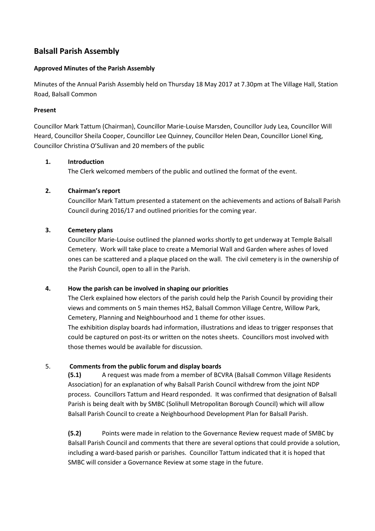# **Balsall Parish Assembly**

#### **Approved Minutes of the Parish Assembly**

Minutes of the Annual Parish Assembly held on Thursday 18 May 2017 at 7.30pm at The Village Hall, Station Road, Balsall Common

#### **Present**

Councillor Mark Tattum (Chairman), Councillor Marie-Louise Marsden, Councillor Judy Lea, Councillor Will Heard, Councillor Sheila Cooper, Councillor Lee Quinney, Councillor Helen Dean, Councillor Lionel King, Councillor Christina O'Sullivan and 20 members of the public

#### **1. Introduction**

The Clerk welcomed members of the public and outlined the format of the event.

## **2. Chairman's report**

Councillor Mark Tattum presented a statement on the achievements and actions of Balsall Parish Council during 2016/17 and outlined priorities for the coming year.

#### **3. Cemetery plans**

Councillor Marie-Louise outlined the planned works shortly to get underway at Temple Balsall Cemetery. Work will take place to create a Memorial Wall and Garden where ashes of loved ones can be scattered and a plaque placed on the wall. The civil cemetery is in the ownership of the Parish Council, open to all in the Parish.

## **4. How the parish can be involved in shaping our priorities**

The Clerk explained how electors of the parish could help the Parish Council by providing their views and comments on 5 main themes HS2, Balsall Common Village Centre, Willow Park, Cemetery, Planning and Neighbourhood and 1 theme for other issues.

The exhibition display boards had information, illustrations and ideas to trigger responses that could be captured on post-its or written on the notes sheets. Councillors most involved with those themes would be available for discussion.

## 5. **Comments from the public forum and display boards**

**(5.1)** A request was made from a member of BCVRA (Balsall Common Village Residents Association) for an explanation of why Balsall Parish Council withdrew from the joint NDP process. Councillors Tattum and Heard responded. It was confirmed that designation of Balsall Parish is being dealt with by SMBC (Solihull Metropolitan Borough Council) which will allow Balsall Parish Council to create a Neighbourhood Development Plan for Balsall Parish.

**(5.2)** Points were made in relation to the Governance Review request made of SMBC by Balsall Parish Council and comments that there are several options that could provide a solution, including a ward-based parish or parishes. Councillor Tattum indicated that it is hoped that SMBC will consider a Governance Review at some stage in the future.